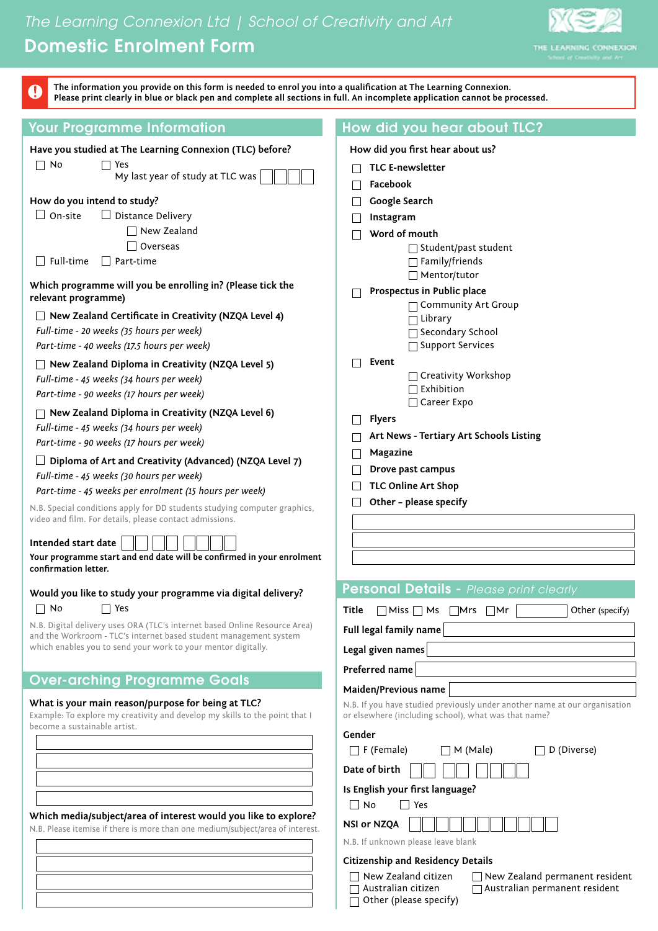# *The Learning Connexion Ltd | School of Creativity and Art* Domestic Enrolment Form



| Q                                                                                                                                                                                                                                                                                                                                                                                                                                                                                                                                                                                                                                                                                                                                                                                                                                                                       | The information you provide on this form is needed to enrol you into a qualification at The Learning Connexion.<br>Please print clearly in blue or black pen and complete all sections in full. An incomplete application cannot be processed.                                                                                                                |                                                                                                                                                                                                                                                                                                                                                                                                                                                                                               |  |  |  |
|-------------------------------------------------------------------------------------------------------------------------------------------------------------------------------------------------------------------------------------------------------------------------------------------------------------------------------------------------------------------------------------------------------------------------------------------------------------------------------------------------------------------------------------------------------------------------------------------------------------------------------------------------------------------------------------------------------------------------------------------------------------------------------------------------------------------------------------------------------------------------|---------------------------------------------------------------------------------------------------------------------------------------------------------------------------------------------------------------------------------------------------------------------------------------------------------------------------------------------------------------|-----------------------------------------------------------------------------------------------------------------------------------------------------------------------------------------------------------------------------------------------------------------------------------------------------------------------------------------------------------------------------------------------------------------------------------------------------------------------------------------------|--|--|--|
|                                                                                                                                                                                                                                                                                                                                                                                                                                                                                                                                                                                                                                                                                                                                                                                                                                                                         | <b>Your Programme Information</b>                                                                                                                                                                                                                                                                                                                             | How did you hear about TLC?                                                                                                                                                                                                                                                                                                                                                                                                                                                                   |  |  |  |
|                                                                                                                                                                                                                                                                                                                                                                                                                                                                                                                                                                                                                                                                                                                                                                                                                                                                         | Have you studied at The Learning Connexion (TLC) before?<br>Yes<br>My last year of study at TLC was                                                                                                                                                                                                                                                           | How did you first hear about us?<br><b>TLC E-newsletter</b>                                                                                                                                                                                                                                                                                                                                                                                                                                   |  |  |  |
| $\Box$ No<br>How do you intend to study?<br>$\Box$ On-site<br>$\Box$ Distance Delivery<br>$\Box$ New Zealand<br>Overseas<br>$\Box$ Full-time<br>Part-time<br>Which programme will you be enrolling in? (Please tick the<br>relevant programme)<br>$\Box$ New Zealand Certificate in Creativity (NZQA Level 4)<br>Full-time - 20 weeks (35 hours per week)<br>Part-time - 40 weeks (17.5 hours per week)<br>$\Box$ New Zealand Diploma in Creativity (NZQA Level 5)<br>Full-time - 45 weeks (34 hours per week)<br>Part-time - 90 weeks (17 hours per week)<br>New Zealand Diploma in Creativity (NZQA Level 6)<br>Full-time - 45 weeks (34 hours per week)<br>Part-time - 90 weeks (17 hours per week)<br>Diploma of Art and Creativity (Advanced) (NZQA Level 7)<br>Full-time - 45 weeks (30 hours per week)<br>Part-time - 45 weeks per enrolment (15 hours per week) |                                                                                                                                                                                                                                                                                                                                                               | Facebook<br>Google Search<br>Instagram<br>Word of mouth<br>$\Box$ Student/past student<br>$\Box$ Family/friends<br>$\Box$ Mentor/tutor<br>Prospectus in Public place<br>□ Community Art Group<br>$\Box$ Library<br>□ Secondary School<br>□ Support Services<br>Event<br>$\Box$ Creativity Workshop<br>$\Box$ Exhibition<br>□ Career Expo<br><b>Flyers</b><br>Art News - Tertiary Art Schools Listing<br>Magazine<br>Drove past campus<br><b>TLC Online Art Shop</b><br>Other - please specify |  |  |  |
|                                                                                                                                                                                                                                                                                                                                                                                                                                                                                                                                                                                                                                                                                                                                                                                                                                                                         | N.B. Special conditions apply for DD students studying computer graphics,<br>video and film. For details, please contact admissions.<br>Intended start date<br>Your programme start and end date will be confirmed in your enrolment<br>confirmation letter.                                                                                                  |                                                                                                                                                                                                                                                                                                                                                                                                                                                                                               |  |  |  |
| $\Box$ No                                                                                                                                                                                                                                                                                                                                                                                                                                                                                                                                                                                                                                                                                                                                                                                                                                                               | Would you like to study your programme via digital delivery?<br>$\Box$ Yes<br>N.B. Digital delivery uses ORA (TLC's internet based Online Resource Area)<br>and the Workroom - TLC's internet based student management system<br>which enables you to send your work to your mentor digitally.                                                                | Personal Details - Please print clearly<br>Miss Ms Mrs Mr<br>Title<br>Other (specify)<br>Full legal family name<br>Legal given names<br>Preferred name                                                                                                                                                                                                                                                                                                                                        |  |  |  |
|                                                                                                                                                                                                                                                                                                                                                                                                                                                                                                                                                                                                                                                                                                                                                                                                                                                                         | <b>Over-arching Programme Goals</b><br>What is your main reason/purpose for being at TLC?<br>Example: To explore my creativity and develop my skills to the point that I<br>become a sustainable artist.<br>Which media/subject/area of interest would you like to explore?<br>N.B. Please itemise if there is more than one medium/subject/area of interest. | Maiden/Previous name<br>N.B. If you have studied previously under another name at our organisation<br>or elsewhere (including school), what was that name?<br>Gender<br>$\Box$ F (Female)<br>D (Diverse)<br>$\Box$ M (Male)<br>Date of birth<br>Is English your first language?<br>    No<br>Yes<br><b>NSI or NZQA</b><br>N.B. If unknown please leave blank<br><b>Citizenship and Residency Details</b>                                                                                      |  |  |  |
|                                                                                                                                                                                                                                                                                                                                                                                                                                                                                                                                                                                                                                                                                                                                                                                                                                                                         |                                                                                                                                                                                                                                                                                                                                                               | New Zealand citizen<br>$\Box$ New Zealand permanent resident<br>Australian citizen<br>Australian permanent resident<br>Other (please specify)                                                                                                                                                                                                                                                                                                                                                 |  |  |  |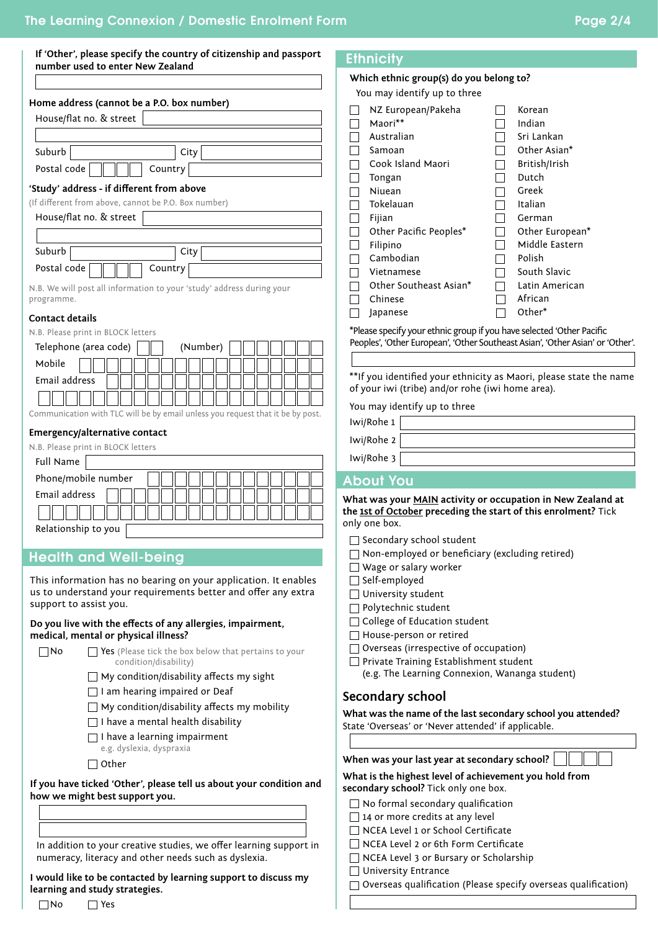| number used to enter New Zealand                                                    | If 'Other', please specify the country of citizenship and passport |  |  |  |
|-------------------------------------------------------------------------------------|--------------------------------------------------------------------|--|--|--|
|                                                                                     |                                                                    |  |  |  |
| Home address (cannot be a P.O. box number)                                          |                                                                    |  |  |  |
| House/flat no. & street                                                             |                                                                    |  |  |  |
|                                                                                     |                                                                    |  |  |  |
| Suburb                                                                              | City                                                               |  |  |  |
| Country<br>Postal code                                                              |                                                                    |  |  |  |
| 'Study' address - if different from above                                           |                                                                    |  |  |  |
| (If different from above, cannot be P.O. Box number)                                |                                                                    |  |  |  |
| House/flat no. & street                                                             |                                                                    |  |  |  |
|                                                                                     |                                                                    |  |  |  |
| Suburb                                                                              | City                                                               |  |  |  |
| Postal code<br>Country                                                              |                                                                    |  |  |  |
| N.B. We will post all information to your 'study' address during your<br>programme. |                                                                    |  |  |  |
| <b>Contact details</b>                                                              |                                                                    |  |  |  |
| N.B. Please print in BLOCK letters                                                  |                                                                    |  |  |  |
| Telephone (area code)                                                               | (Number)                                                           |  |  |  |
| Mobile                                                                              |                                                                    |  |  |  |
| Email address                                                                       |                                                                    |  |  |  |
|                                                                                     |                                                                    |  |  |  |

Communication with TLC will be by email unless you request that it be by post.

#### **Emergency/alternative contact**

N.B. Please print in BLOCK letters

| <b>Full Name</b>    |
|---------------------|
| Phone/mobile number |
| Email address       |
|                     |
| Relationship to you |

# Health and Well-being

This information has no bearing on your application. It enables us to understand your requirements better and offer any extra support to assist you.

#### **Do you live with the effects of any allergies, impairment, medical, mental or physical illness?**



 $\Box$  No  $\Box$  Yes (Please tick the box below that pertains to your condition/disability)

- $\Box$  My condition/disability affects my sight
- $\Box$  I am hearing impaired or Deaf
- $\Box$  My condition/disability affects my mobility
- $\Box$  I have a mental health disability
- $\Box$  I have a learning impairment
- e.g. dyslexia, dyspraxia
- $\Box$  Other

**If you have ticked 'Other', please tell us about your condition and how we might best support you.**

#### In addition to your creative studies, we offer learning support in numeracy, literacy and other needs such as dyslexia.

**I would like to be contacted by learning support to discuss my learning and study strategies.**

## **Ethnicity**

#### **Which ethnic group(s) do you belong to?**

You may identify up to three

| NZ European/Pakeha     | Korean          |
|------------------------|-----------------|
| Maori**                | Indian          |
| Australian             | Sri Lankan      |
| Samoan                 | Other Asian*    |
| Cook Island Maori      | British/Irish   |
| Tongan                 | Dutch           |
| Niuean                 | Greek           |
| Tokelauan              | Italian         |
| Fijian                 | German          |
| Other Pacific Peoples* | Other European* |
| Filipino               | Middle Eastern  |
| Cambodian              | Polish          |
| Vietnamese             | South Slavic    |
| Other Southeast Asian* | Latin American  |
| Chinese                | African         |
| Japanese               | Other*          |
|                        |                 |

\*Please specify your ethnic group if you have selected 'Other Pacific Peoples', 'Other European', 'Other Southeast Asian', 'Other Asian' or 'Other'.

\*\*If you identified your ethnicity as Maori, please state the name of your iwi (tribe) and/or rohe (iwi home area).

You may identify up to three

Iwi/Rohe 1

Iwi/Rohe 2

Iwi/Rohe 3

## About You

**What was your MAIN activity or occupation in New Zealand at the 1st of October preceding the start of this enrolment?** Tick only one box.

- $\Box$  Secondary school student
- Non-employed or beneficiary (excluding retired)
- Wage or salary worker
- $\Box$  Self-employed
- University student
- Polytechnic student
- □ College of Education student
- □ House-person or retired
- $\Box$  Overseas (irrespective of occupation)
- Private Training Establishment student (e.g. The Learning Connexion, Wananga student)

## **Secondary school**

**What was the name of the last secondary school you attended?**  State 'Overseas' or 'Never attended' if applicable.

| When was your last year at secondary school? $\boxed{\phantom{\hspace{1.5cm} \hspace{1.5cm} \hspace{1.5cm}}}$ |  |  |  |  |
|---------------------------------------------------------------------------------------------------------------|--|--|--|--|
|---------------------------------------------------------------------------------------------------------------|--|--|--|--|

**What is the highest level of achievement you hold from secondary school?** Tick only one box.

- $\Box$  No formal secondary qualification
- $\Box$  14 or more credits at any level
- □ NCEA Level 1 or School Certificate
- □ NCEA Level 2 or 6th Form Certificate
- □ NCEA Level 3 or Bursary or Scholarship

□ University Entrance

Overseas qualification (Please specify overseas qualification)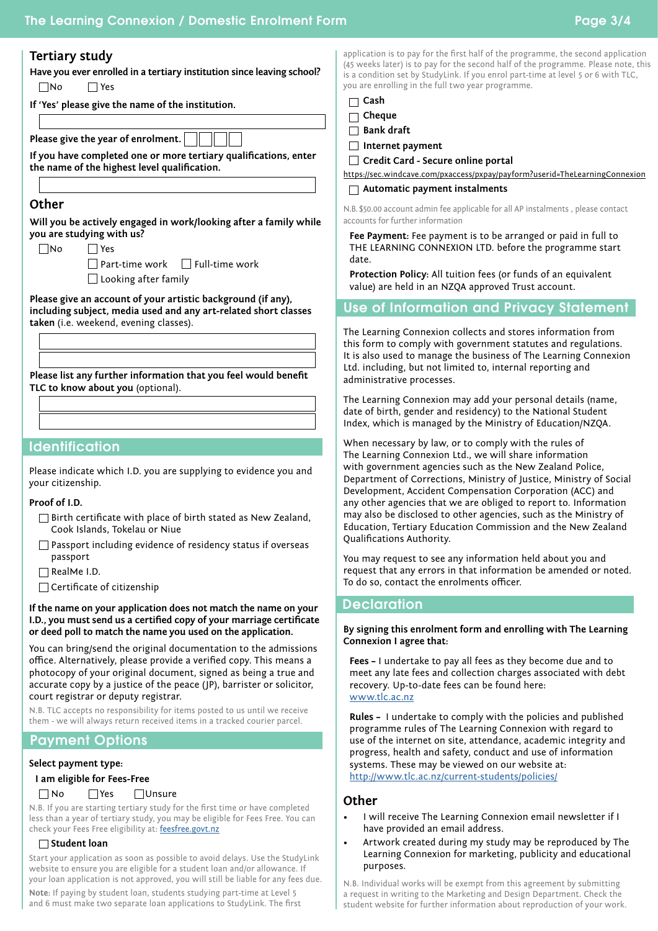# **Tertiary study**

**Have you ever enrolled in a tertiary institution since leaving school?** No Yes

|  |  | If 'Yes' please give the name of the institution. |
|--|--|---------------------------------------------------|

**Please give the year of enrolment.**

**If you have completed one or more tertiary qualifications, enter the name of the highest level qualification.**

## **Other**

**Will you be actively engaged in work/looking after a family while you are studying with us?**

 $\n  $\Box$  **N o**  $\Box$  **Yes**$ 

 $\Box$  Part-time work  $\Box$  Full-time work Looking after family

**Please give an account of your artistic background (if any), including subject, media used and any art-related short classes taken** (i.e. weekend, evening classes).

**Please list any further information that you feel would benefit TLC to know about you** (optional).

## **Identification**

Please indicate which I.D. you are supplying to evidence you and your citizenship.

#### **Proof of I.D.**

- $\Box$  Birth certificate with place of birth stated as New Zealand, Cook Islands, Tokelau or Niue
- $\Box$  Passport including evidence of residency status if overseas passport
- $\Box$  RealMe I.D.
- $\Box$  Certificate of citizenship

**If the name on your application does not match the name on your I.D., you must send us a certified copy of your marriage certificate or deed poll to match the name you used on the application.**

You can bring/send the original documentation to the admissions office. Alternatively, please provide a verified copy. This means a photocopy of your original document, signed as being a true and accurate copy by a justice of the peace (JP), barrister or solicitor, court registrar or deputy registrar.

N.B. TLC accepts no responsibility for items posted to us until we receive them - we will always return received items in a tracked courier parcel.

# Payment Options

#### **Select payment type:**

## **I am eligible for Fees-Free**

#### $\Box$  No  $\Box$  Yes  $\Box$  Unsure

N.B. If you are starting tertiary study for the first time or have completed less than a year of tertiary study, you may be eligible for Fees Free. You can check your Fees Free eligibility at: [feesfree.govt.nz](http://feesfree.govt.nz)

## **Student loan**

Start your application as soon as possible to avoid delays. Use the StudyLink website to ensure you are eligible for a student loan and/or allowance. If your loan application is not approved, you will still be liable for any fees due.

**Note:** If paying by student loan, students studying part-time at Level 5 and 6 must make two separate loan applications to StudyLink. The first application is to pay for the first half of the programme, the second application (45 weeks later) is to pay for the second half of the programme. Please note, this is a condition set by StudyLink. If you enrol part-time at level 5 or 6 with TLC, you are enrolling in the full two year programme.

| ۰.<br>×<br>٧<br>×<br>v<br>۰ |
|-----------------------------|
|                             |

**Cheque**

**Bank draft**

**Internet payment**

| $\Box$ Credit Card - Secure online portal                                   |
|-----------------------------------------------------------------------------|
| https://sec.windcave.com/pxaccess/pxpay/payform?userid=TheLearningConnexion |
|                                                                             |

# **Automatic payment instalments**

| N.B. \$50.00 account admin fee applicable for all AP instalments, please contact |  |  |  |  |  |
|----------------------------------------------------------------------------------|--|--|--|--|--|
| accounts for further information                                                 |  |  |  |  |  |

**Fee Payment:** Fee payment is to be arranged or paid in full to THE LEARNING CONNEXION LTD. before the programme start date.

**Protection Policy:** All tuition fees (or funds of an equivalent value) are held in an NZQA approved Trust account.

## Use of Information and Privacy Statement

The Learning Connexion collects and stores information from this form to comply with government statutes and regulations. It is also used to manage the business of The Learning Connexion Ltd. including, but not limited to, internal reporting and administrative processes.

The Learning Connexion may add your personal details (name, date of birth, gender and residency) to the National Student Index, which is managed by the Ministry of Education/NZQA.

When necessary by law, or to comply with the rules of The Learning Connexion Ltd., we will share information with government agencies such as the New Zealand Police, Department of Corrections, Ministry of Justice, Ministry of Social Development, Accident Compensation Corporation (ACC) and any other agencies that we are obliged to report to. Information may also be disclosed to other agencies, such as the Ministry of Education, Tertiary Education Commission and the New Zealand Qualifications Authority.

You may request to see any information held about you and request that any errors in that information be amended or noted. To do so, contact the enrolments officer.

## **Declaration**

#### **By signing this enrolment form and enrolling with The Learning Connexion I agree that:**

**Fees –** I undertake to pay all fees as they become due and to meet any late fees and collection charges associated with debt recovery. Up-to-date fees can be found here: [www.tlc.ac.nz](https://www.tlc.ac.nz/study-with-us/enrolment/enrolment-2/term-dates-and-fees/)

**Rules –** I undertake to comply with the policies and published programme rules of The Learning Connexion with regard to use of the internet on site, attendance, academic integrity and progress, health and safety, conduct and use of information systems. These may be viewed on our website at: <http://www.tlc.ac.nz/current-students/policies/>

## **Other**

- I will receive The Learning Connexion email newsletter if I have provided an email address.
- Artwork created during my study may be reproduced by The Learning Connexion for marketing, publicity and educational purposes.

N.B. Individual works will be exempt from this agreement by submitting a request in writing to the Marketing and Design Department. Check the student website for further information about reproduction of your work.